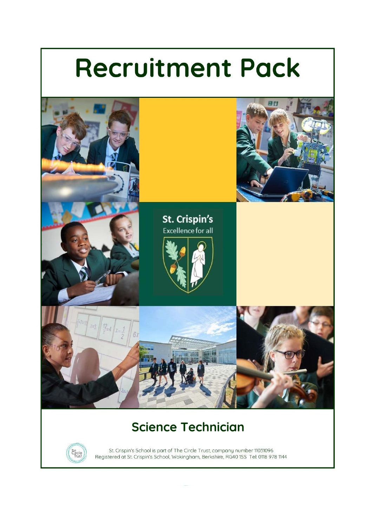# **Recruitment Pack**



## **Science Technician**



St. Crispin's School is part of The Circle Trust, company number 11031096 London Road, St. Crispin's School is part of The Circle Trust, company number 11051076 1144<br>Registered at St. Crispin's School, Wokingham, Berkshire, RG40 1SS Tel: 0118 978 1144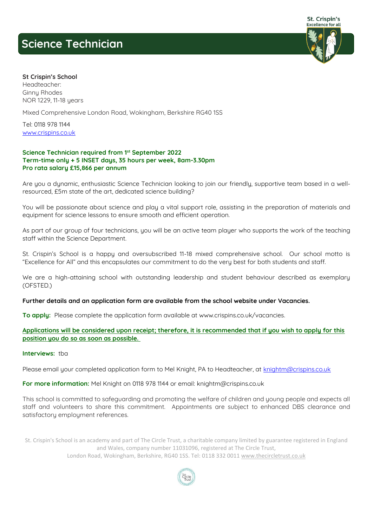## **Science Technician**



#### **St Crispin's School**

**Headteacher: Ginny Rhodes NOR 1229, 11-18 years**

**Mixed Comprehensive London Road, Wokingham, Berkshire RG40 1SS** 

**Tel: 0118 978 1144 [www.crispins.co.uk](http://www.crispins.co.uk/)**

#### **Science Technician required from 1st September 2022 Term-time only + 5 INSET days, 35 hours per week, 8am-3.30pm Pro rata salary £15,866 per annum**

**Are you a dynamic, enthusiastic Science Technician looking to join our friendly, supportive team based in a wellresourced, £5m state of the art, dedicated science building?**

**You will be passionate about science and play a vital support role, assisting in the preparation of materials and equipment for science lessons to ensure smooth and efficient operation.** 

**As part of our group of four technicians, you will be an active team player who supports the work of the teaching staff within the Science Department.**

**St. Crispin's School is a happy and oversubscribed 11-18 mixed comprehensive school. Our school motto is "Excellence for All" and this encapsulates our commitment to do the very best for both students and staff.** 

We are a high-attaining school with outstanding leadership and student behaviour described as exemplary **(OFSTED.)** 

**Further details and an application form are available from the school website under Vacancies.**

**To apply: Please complete the application form available at [www.crispins.co.uk/vacancies.](https://www.crispins.co.uk/vacancies/)**

| Applications will be considered upon receipt; therefore, it is recommended that if you wish to apply for this |  |  |  |
|---------------------------------------------------------------------------------------------------------------|--|--|--|
| position you do so as soon as possible.                                                                       |  |  |  |

#### **Interviews: tba**

**Please email your completed application form to Mel Knight, PA to Headteacher, at [knightm@crispins.co.uk](mailto:knightm@crispins.co.uk)**

**For more information: Mel Knight on 0118 978 1144 or email: [knightm@crispins.co.uk](mailto:knightm@crispins.co.uk)**

**This school is committed to safeguarding and promoting the welfare of children and young people and expects all staff and volunteers to share this commitment. Appointments are subject to enhanced DBS clearance and satisfactory employment references.**

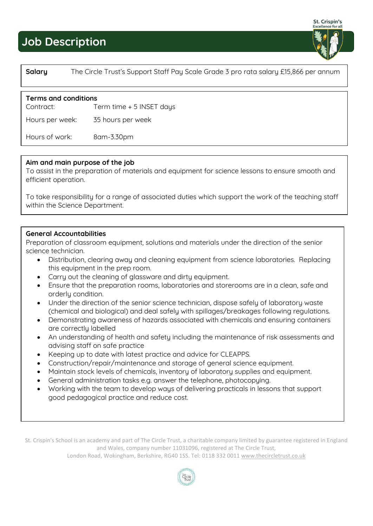## **Job Description**

### **Salary The Circle Trust's Support Staff Pay Scale Grade 3 pro rata salary £15,866 per annum**

#### **Terms and conditions**

**Contract: Term time + 5 INSET days** 

**Hours per week: 35 hours per week**

**Hours of work: 8am-3.30pm**

#### **Aim and main purpose of the job**

**To assist in the preparation of materials and equipment for science lessons to ensure smooth and efficient operation.** 

**To take responsibility for a range of associated duties which support the work of the teaching staff within the Science Department.**

#### **General Accountabilities**

**Preparation of classroom equipment, solutions and materials under the direction of the senior science technician.**

- **Distribution, clearing away and cleaning equipment from science laboratories. Replacing this equipment in the prep room.**
- **Carry out the cleaning of glassware and dirty equipment.**
- **Ensure that the preparation rooms, laboratories and storerooms are in a clean, safe and orderly condition.**
- **Under the direction of the senior science technician, dispose safely of laboratory waste (chemical and biological) and deal safely with spillages/breakages following regulations.**
- **Demonstrating awareness of hazards associated with chemicals and ensuring containers are correctly labelled**
- **An understanding of health and safety including the maintenance of risk assessments and advising staff on safe practice**
- **Keeping up to date with latest practice and advice for CLEAPPS.**
- **Construction/repair/maintenance and storage of general science equipment.**
- **Maintain stock levels of chemicals, inventory of laboratory supplies and equipment.**
- **General administration tasks e.g. answer the telephone, photocopying.**
- **Working with the team to develop ways of delivering practicals in lessons that support good pedagogical practice and reduce cost.**

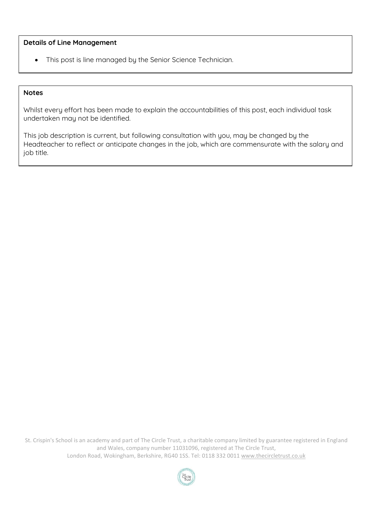#### **Details of Line Management**

• **This post is line managed by the Senior Science Technician.**

#### **Notes**

**Whilst every effort has been made to explain the accountabilities of this post, each individual task undertaken may not be identified.**

**This job description is current, but following consultation with you, may be changed by the Headteacher to reflect or anticipate changes in the job, which are commensurate with the salary and job title.**

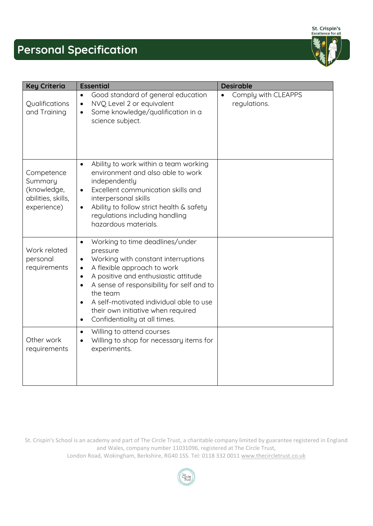St. Crispin's<br>Excellence for all

**Personal Specification** 

| <b>Key Criteria</b>                                                       | <b>Essential</b>                                                                                                                                                                                                                                                                                                                                                                                                                | <b>Desirable</b>                    |
|---------------------------------------------------------------------------|---------------------------------------------------------------------------------------------------------------------------------------------------------------------------------------------------------------------------------------------------------------------------------------------------------------------------------------------------------------------------------------------------------------------------------|-------------------------------------|
| Qualifications<br>and Training                                            | Good standard of general education<br>$\bullet$<br>NVQ Level 2 or equivalent<br>$\bullet$<br>Some knowledge/qualification in a<br>$\bullet$<br>science subject.                                                                                                                                                                                                                                                                 | Comply with CLEAPPS<br>regulations. |
| Competence<br>Summary<br>(knowledge,<br>abilities, skills,<br>experience) | Ability to work within a team working<br>$\bullet$<br>environment and also able to work<br>independently<br>Excellent communication skills and<br>$\bullet$<br>interpersonal skills<br>Ability to follow strict health & safety<br>$\bullet$<br>regulations including handling<br>hazardous materials.                                                                                                                          |                                     |
| Work related<br>personal<br>requirements                                  | Working to time deadlines/under<br>$\bullet$<br>pressure<br>Working with constant interruptions<br>$\bullet$<br>A flexible approach to work<br>$\bullet$<br>A positive and enthusiastic attitude<br>$\bullet$<br>A sense of responsibility for self and to<br>$\bullet$<br>the team<br>A self-motivated individual able to use<br>$\bullet$<br>their own initiative when required<br>Confidentiality at all times.<br>$\bullet$ |                                     |
| Other work<br>requirements                                                | Willing to attend courses<br>$\bullet$<br>Willing to shop for necessary items for<br>$\bullet$<br>experiments.                                                                                                                                                                                                                                                                                                                  |                                     |

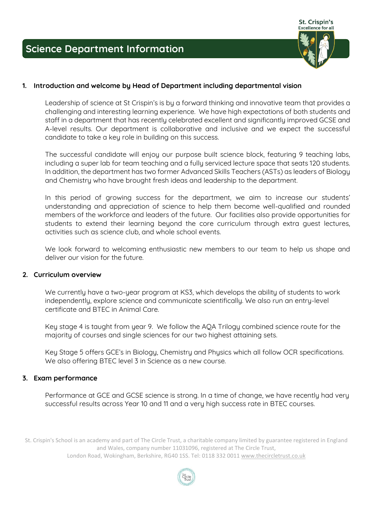

#### **1. Introduction and welcome by Head of Department including departmental vision**

**Leadership of science at St Crispin's is by a forward thinking and innovative team that provides a challenging and interesting learning experience. We have high expectations of both students and staff in a department that has recently celebrated excellent and significantly improved GCSE and A-level results. Our department is collaborative and inclusive and we expect the successful candidate to take a key role in building on this success.**

**The successful candidate will enjoy our purpose built science block, featuring 9 teaching labs, including a super lab for team teaching and a fully serviced lecture space that seats 120 students. In addition, the department has two former Advanced Skills Teachers (ASTs) as leaders of Biology and Chemistry who have brought fresh ideas and leadership to the department.** 

**In this period of growing success for the department, we aim to increase our students' understanding and appreciation of science to help them become well-qualified and rounded members of the workforce and leaders of the future. Our facilities also provide opportunities for students to extend their learning beyond the core curriculum through extra guest lectures, activities such as science club, and whole school events.** 

**We look forward to welcoming enthusiastic new members to our team to help us shape and deliver our vision for the future.**

#### **2. Curriculum overview**

We currently have a two-year program at KS3, which develops the ability of students to work **independently, explore science and communicate scientifically. We also run an entry-level certificate and BTEC in Animal Care.**

**Key stage 4 is taught from year 9. We follow the AQA Trilogy combined science route for the majority of courses and single sciences for our two highest attaining sets.**

**Key Stage 5 offers GCE's in Biology, Chemistry and Physics which all follow OCR specifications. We also offering BTEC level 3 in Science as a new course.**

#### **3. Exam performance**

**Performance at GCE and GCSE science is strong. In a time of change, we have recently had very successful results across Year 10 and 11 and a very high success rate in BTEC courses.**